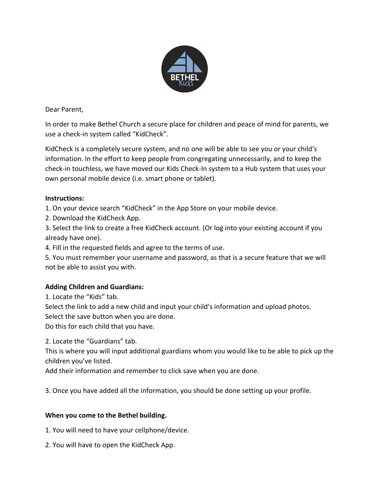

Dear Parent,

In order to make Bethel Church a secure place for children and peace of mind for parents, we use a check-in system called "KidCheck".

KidCheck is a completely secure system, and no one will be able to see you or your child's information. In the effort to keep people from congregating unnecessarily, and to keep the check-in touchless, we have moved our Kids Check-In system to a Hub system that uses your own personal mobile device (i.e. smart phone or tablet).

## **Instructions:**

1. On your device search "KidCheck" in the App Store on your mobile device.

2. Download the KidCheck App.

3. Select the link to create a free KidCheck account. (Or log into your existing account if you already have one).

4. Fill in the requested fields and agree to the terms of use.

5. You must remember your username and password, as that is a secure feature that we will not be able to assist you with.

## **Adding Children and Guardians:**

1. Locate the "Kids" tab.

Select the link to add a new child and input your child's information and upload photos. Select the save button when you are done.

Do this for each child that you have.

2. Locate the "Guardians" tab.

This is where you will input additional guardians whom you would like to be able to pick up the children you've listed.

Add their information and remember to click save when you are done.

3. Once you have added all the information, you should be done setting up your profile.

## **When you come to the Bethel building.**

1. You will need to have your cellphone/device.

2. You will have to open the KidCheck App.